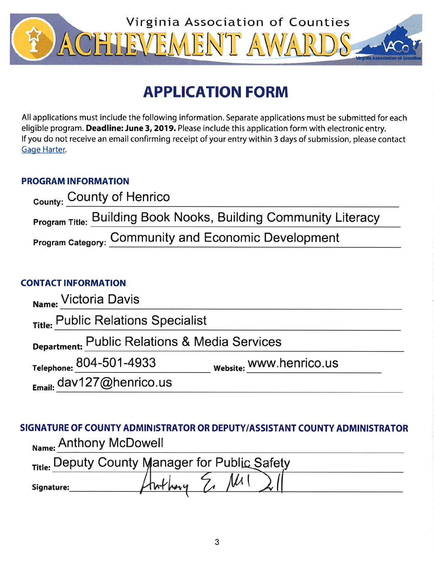

# **APPLICATION FORM**

All applications must include the following information. Separate applications must be submitted for each eligible program. Deadline: June 3, 2019. Please include this application form with electronic entry. If you do not receive an email confirming receipt of your entry within 3 days of submission, please contact Gage Harter.

# **PROGRAM INFORMATION**

| County: County of Henrico                                              |  |
|------------------------------------------------------------------------|--|
| <b>Program Title: Building Book Nooks, Building Community Literacy</b> |  |
| <b>Program Category: Community and Economic Development</b>            |  |

# **CONTACT INFORMATION**

| Name: Victoria Davis                          |                         |  |
|-----------------------------------------------|-------------------------|--|
| Title: Public Relations Specialist            |                         |  |
| Department: Public Relations & Media Services |                         |  |
| Telephone: 804-501-4933                       | website: WWW.henrico.us |  |
| $E_{\text{mail:}}$ dav127@henrico.us          |                         |  |

SIGNATURE OF COUNTY ADMINISTRATOR OR DEPUTY/ASSISTANT COUNTY ADMINISTRATOR Name: Anthony McDowell

| Title: Deputy County Manager for Public Safety |  |  |  |
|------------------------------------------------|--|--|--|
| Signature:                                     |  |  |  |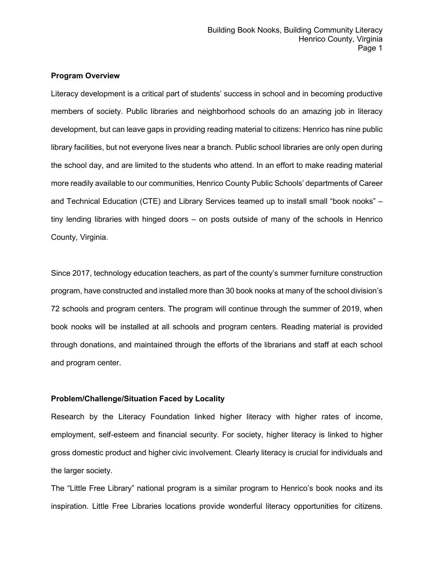## **Program Overview**

Literacy development is a critical part of students' success in school and in becoming productive members of society. Public libraries and neighborhood schools do an amazing job in literacy development, but can leave gaps in providing reading material to citizens: Henrico has nine public library facilities, but not everyone lives near a branch. Public school libraries are only open during the school day, and are limited to the students who attend. In an effort to make reading material more readily available to our communities, Henrico County Public Schools' departments of Career and Technical Education (CTE) and Library Services teamed up to install small "book nooks" – tiny lending libraries with hinged doors – on posts outside of many of the schools in Henrico County, Virginia.

Since 2017, technology education teachers, as part of the county's summer furniture construction program, have constructed and installed more than 30 book nooks at many of the school division's 72 schools and program centers. The program will continue through the summer of 2019, when book nooks will be installed at all schools and program centers. Reading material is provided through donations, and maintained through the efforts of the librarians and staff at each school and program center.

# **Problem/Challenge/Situation Faced by Locality**

Research by the Literacy Foundation linked higher literacy with higher rates of income, employment, self-esteem and financial security. For society, higher literacy is linked to higher gross domestic product and higher civic involvement. Clearly literacy is crucial for individuals and the larger society.

The "Little Free Library" national program is a similar program to Henrico's book nooks and its inspiration. Little Free Libraries locations provide wonderful literacy opportunities for citizens.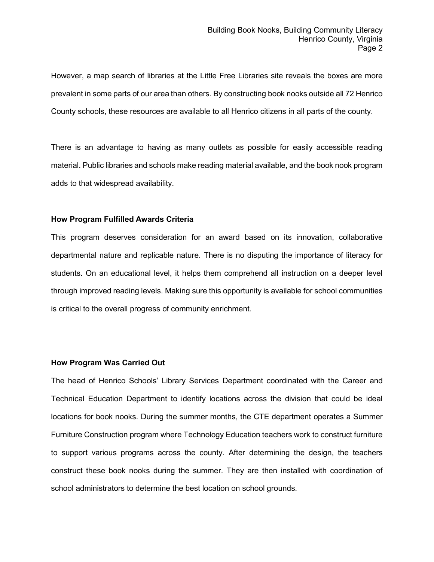However, a map search of libraries at the Little Free Libraries site reveals the boxes are more prevalent in some parts of our area than others. By constructing book nooks outside all 72 Henrico County schools, these resources are available to all Henrico citizens in all parts of the county.

There is an advantage to having as many outlets as possible for easily accessible reading material. Public libraries and schools make reading material available, and the book nook program adds to that widespread availability.

#### **How Program Fulfilled Awards Criteria**

This program deserves consideration for an award based on its innovation, collaborative departmental nature and replicable nature. There is no disputing the importance of literacy for students. On an educational level, it helps them comprehend all instruction on a deeper level through improved reading levels. Making sure this opportunity is available for school communities is critical to the overall progress of community enrichment.

## **How Program Was Carried Out**

The head of Henrico Schools' Library Services Department coordinated with the Career and Technical Education Department to identify locations across the division that could be ideal locations for book nooks. During the summer months, the CTE department operates a Summer Furniture Construction program where Technology Education teachers work to construct furniture to support various programs across the county. After determining the design, the teachers construct these book nooks during the summer. They are then installed with coordination of school administrators to determine the best location on school grounds.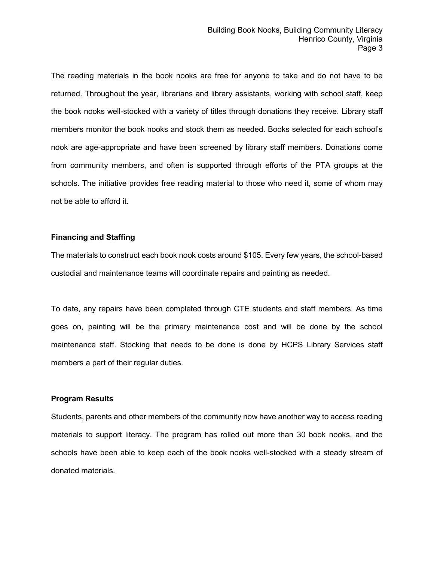The reading materials in the book nooks are free for anyone to take and do not have to be returned. Throughout the year, librarians and library assistants, working with school staff, keep the book nooks well-stocked with a variety of titles through donations they receive. Library staff members monitor the book nooks and stock them as needed. Books selected for each school's nook are age-appropriate and have been screened by library staff members. Donations come from community members, and often is supported through efforts of the PTA groups at the schools. The initiative provides free reading material to those who need it, some of whom may not be able to afford it.

## **Financing and Staffing**

The materials to construct each book nook costs around \$105. Every few years, the school-based custodial and maintenance teams will coordinate repairs and painting as needed.

To date, any repairs have been completed through CTE students and staff members. As time goes on, painting will be the primary maintenance cost and will be done by the school maintenance staff. Stocking that needs to be done is done by HCPS Library Services staff members a part of their regular duties.

#### **Program Results**

Students, parents and other members of the community now have another way to access reading materials to support literacy. The program has rolled out more than 30 book nooks, and the schools have been able to keep each of the book nooks well-stocked with a steady stream of donated materials.